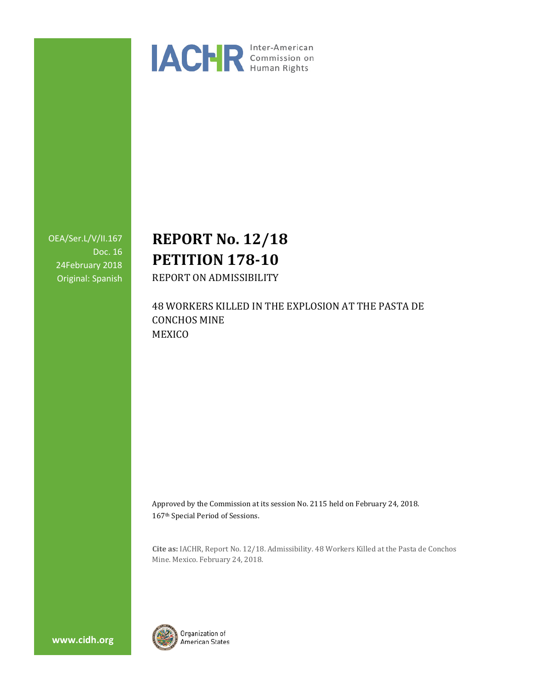

OEA/Ser.L/V/II.167 Doc. 16 24February 2018 Original: Spanish

# **REPORT No. 12/18 PETITION 178-10**

REPORT ON ADMISSIBILITY

48 WORKERS KILLED IN THE EXPLOSION AT THE PASTA DE CONCHOS MINE **MEXICO** 

Approved by the Commission at its session No. 2115 held on February 24, 2018. 167th Special Period of Sessions.

**Cite as:** IACHR, Report No. 12/18. Admissibility. 48 Workers Killed at the Pasta de Conchos Mine. Mexico. February 24, 2018.



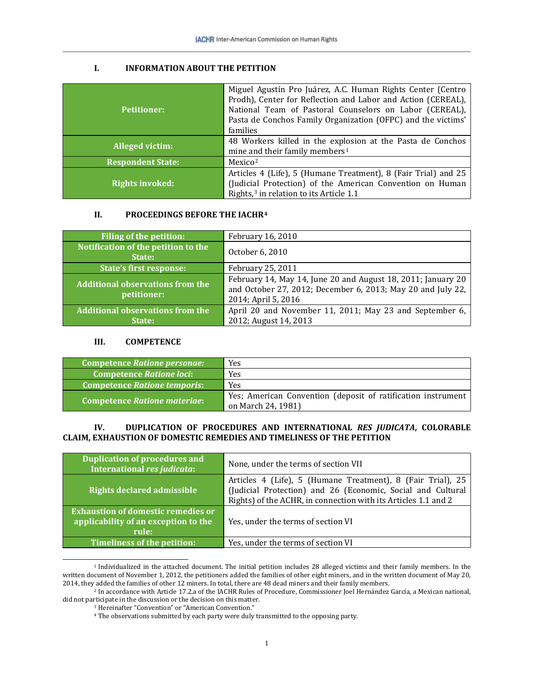# **I. INFORMATION ABOUT THE PETITION**

| <b>Petitioner:</b>       | Miguel Agustín Pro Juárez, A.C. Human Rights Center (Centro<br>Prodh), Center for Reflection and Labor and Action (CEREAL),<br>National Team of Pastoral Counselors on Labor (CEREAL),<br>Pasta de Conchos Family Organization (OFPC) and the victims'<br>families |
|--------------------------|--------------------------------------------------------------------------------------------------------------------------------------------------------------------------------------------------------------------------------------------------------------------|
| <b>Alleged victim:</b>   | 48 Workers killed in the explosion at the Pasta de Conchos<br>mine and their family members <sup>1</sup>                                                                                                                                                           |
| <b>Respondent State:</b> | Mexico <sup>2</sup>                                                                                                                                                                                                                                                |
| <b>Rights invoked:</b>   | Articles 4 (Life), 5 (Humane Treatment), 8 (Fair Trial) and 25<br>(Judicial Protection) of the American Convention on Human<br>Rights, <sup>3</sup> in relation to its Article 1.1                                                                                 |

#### **II. PROCEEDINGS BEFORE THE IACHR[4](#page-1-3)**

| <b>Filing of the petition:</b>                         | February 16, 2010                                                                                                                                  |
|--------------------------------------------------------|----------------------------------------------------------------------------------------------------------------------------------------------------|
| Notification of the petition to the<br>State:          | October 6, 2010                                                                                                                                    |
| <b>State's first response:</b>                         | February 25, 2011                                                                                                                                  |
| <b>Additional observations from the</b><br>petitioner: | February 14, May 14, June 20 and August 18, 2011; January 20<br>and October 27, 2012; December 6, 2013; May 20 and July 22,<br>2014; April 5, 2016 |
| <b>Additional observations from the</b><br>State:      | April 20 and November 11, 2011; May 23 and September 6,<br>2012; August 14, 2013                                                                   |

# **III. COMPETENCE**

| <b>Competence Ratione personae:</b> | Yes                                                                                |
|-------------------------------------|------------------------------------------------------------------------------------|
| <b>Competence Ratione loci:</b>     | Yes                                                                                |
| <b>Competence Ratione temporis:</b> | Yes                                                                                |
| <b>Competence Ratione materiae:</b> | Yes; American Convention (deposit of ratification instrument<br>on March 24, 1981) |

# **IV. DUPLICATION OF PROCEDURES AND INTERNATIONAL** *RES JUDICATA***, COLORABLE CLAIM, EXHAUSTION OF DOMESTIC REMEDIES AND TIMELINESS OF THE PETITION**

| <b>Duplication of procedures and</b><br>International res judicata:                        | None, under the terms of section VII                                                                                                                                                         |
|--------------------------------------------------------------------------------------------|----------------------------------------------------------------------------------------------------------------------------------------------------------------------------------------------|
| <b>Rights declared admissible</b>                                                          | Articles 4 (Life), 5 (Humane Treatment), 8 (Fair Trial), 25<br>(Judicial Protection) and 26 (Economic, Social and Cultural<br>Rights) of the ACHR, in connection with its Articles 1.1 and 2 |
| <b>Exhaustion of domestic remedies or</b><br>applicability of an exception to the<br>rule: | Yes, under the terms of section VI                                                                                                                                                           |
| Timeliness of the petition:                                                                | Yes, under the terms of section VI                                                                                                                                                           |

<span id="page-1-0"></span> <sup>1</sup> Individualized in the attached document. The initial petition includes <sup>28</sup> alleged victims and their family members. In the written document of November 1, 2012, the petitioners added the families of other eight miners, and in the written document of May 20, 2014, they added the families of other 12 miners. In total, there are 48 dead miners and their family members.

<span id="page-1-3"></span><span id="page-1-2"></span><span id="page-1-1"></span><sup>2</sup> In accordance with Article 17.2.a of the IACHR Rules of Procedure, Commissioner Joel Hernández García, a Mexican national, did not participate in the discussion or the decision on this matter.

<sup>3</sup> Hereinafter "Convention" or "American Convention."

<sup>4</sup> The observations submitted by each party were duly transmitted to the opposing party.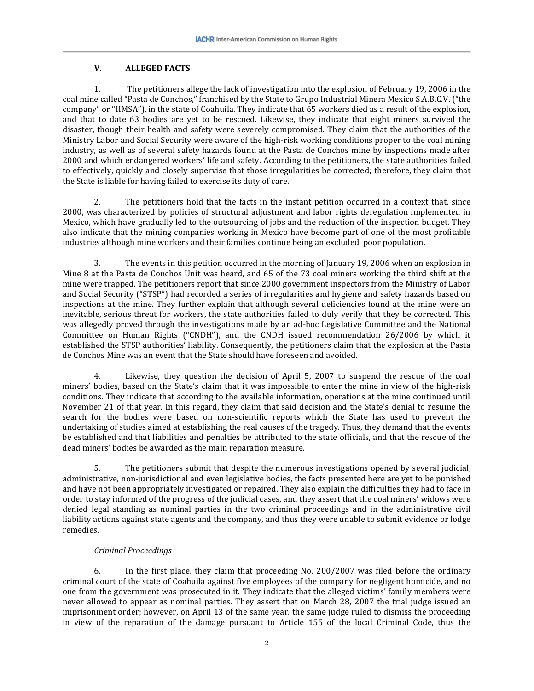# **V. ALLEGED FACTS**

1. The petitioners allege the lack of investigation into the explosion of February 19, 2006 in the coal mine called "Pasta de Conchos," franchised by the State to Grupo Industrial Minera Mexico S.A.B.C.V. ("the company" or "IIMSA"), in the state of Coahuila. They indicate that 65 workers died as a result of the explosion, and that to date 63 bodies are yet to be rescued. Likewise, they indicate that eight miners survived the disaster, though their health and safety were severely compromised. They claim that the authorities of the Ministry Labor and Social Security were aware of the high-risk working conditions proper to the coal mining industry, as well as of several safety hazards found at the Pasta de Conchos mine by inspections made after 2000 and which endangered workers' life and safety. According to the petitioners, the state authorities failed to effectively, quickly and closely supervise that those irregularities be corrected; therefore, they claim that the State is liable for having failed to exercise its duty of care.

2. The petitioners hold that the facts in the instant petition occurred in a context that, since 2000, was characterized by policies of structural adjustment and labor rights deregulation implemented in Mexico, which have gradually led to the outsourcing of jobs and the reduction of the inspection budget. They also indicate that the mining companies working in Mexico have become part of one of the most profitable industries although mine workers and their families continue being an excluded, poor population.

3. The events in this petition occurred in the morning of January 19, 2006 when an explosion in Mine 8 at the Pasta de Conchos Unit was heard, and 65 of the 73 coal miners working the third shift at the mine were trapped. The petitioners report that since 2000 government inspectors from the Ministry of Labor and Social Security ("STSP") had recorded a series of irregularities and hygiene and safety hazards based on inspections at the mine. They further explain that although several deficiencies found at the mine were an inevitable, serious threat for workers, the state authorities failed to duly verify that they be corrected. This was allegedly proved through the investigations made by an ad-hoc Legislative Committee and the National Committee on Human Rights ("CNDH"), and the CNDH issued recommendation 26/2006 by which it established the STSP authorities' liability. Consequently, the petitioners claim that the explosion at the Pasta de Conchos Mine was an event that the State should have foreseen and avoided.

4. Likewise, they question the decision of April 5, 2007 to suspend the rescue of the coal miners' bodies, based on the State's claim that it was impossible to enter the mine in view of the high-risk conditions. They indicate that according to the available information, operations at the mine continued until November 21 of that year. In this regard, they claim that said decision and the State's denial to resume the search for the bodies were based on non-scientific reports which the State has used to prevent the undertaking of studies aimed at establishing the real causes of the tragedy. Thus, they demand that the events be established and that liabilities and penalties be attributed to the state officials, and that the rescue of the dead miners' bodies be awarded as the main reparation measure.

5. The petitioners submit that despite the numerous investigations opened by several judicial, administrative, non-jurisdictional and even legislative bodies, the facts presented here are yet to be punished and have not been appropriately investigated or repaired. They also explain the difficulties they had to face in order to stay informed of the progress of the judicial cases, and they assert that the coal miners' widows were denied legal standing as nominal parties in the two criminal proceedings and in the administrative civil liability actions against state agents and the company, and thus they were unable to submit evidence or lodge remedies.

# *Criminal Proceedings*

6. In the first place, they claim that proceeding No. 200/2007 was filed before the ordinary criminal court of the state of Coahuila against five employees of the company for negligent homicide, and no one from the government was prosecuted in it. They indicate that the alleged victims' family members were never allowed to appear as nominal parties. They assert that on March 28, 2007 the trial judge issued an imprisonment order; however, on April 13 of the same year, the same judge ruled to dismiss the proceeding in view of the reparation of the damage pursuant to Article 155 of the local Criminal Code, thus the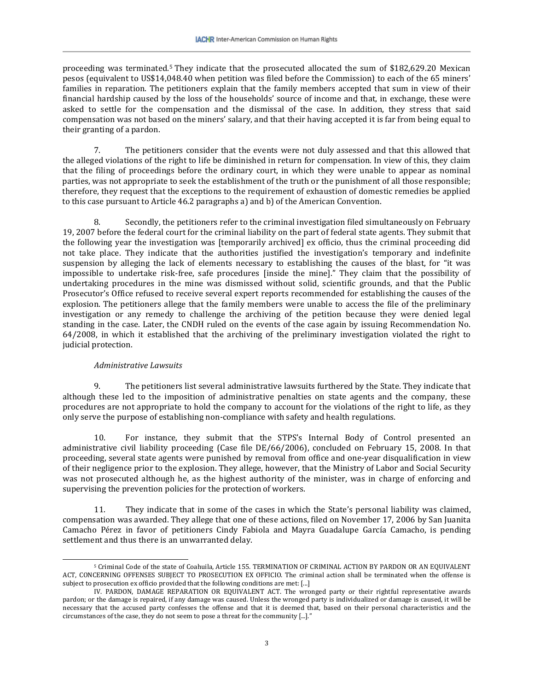proceeding was terminated.[5](#page-3-0) They indicate that the prosecuted allocated the sum of \$182,629.20 Mexican pesos (equivalent to US\$14,048.40 when petition was filed before the Commission) to each of the 65 miners' families in reparation. The petitioners explain that the family members accepted that sum in view of their financial hardship caused by the loss of the households' source of income and that, in exchange, these were asked to settle for the compensation and the dismissal of the case. In addition, they stress that said compensation was not based on the miners' salary, and that their having accepted it is far from being equal to their granting of a pardon.

7. The petitioners consider that the events were not duly assessed and that this allowed that the alleged violations of the right to life be diminished in return for compensation. In view of this, they claim that the filing of proceedings before the ordinary court, in which they were unable to appear as nominal parties, was not appropriate to seek the establishment of the truth or the punishment of all those responsible; therefore, they request that the exceptions to the requirement of exhaustion of domestic remedies be applied to this case pursuant to Article 46.2 paragraphs a) and b) of the American Convention.

8. Secondly, the petitioners refer to the criminal investigation filed simultaneously on February 19, 2007 before the federal court for the criminal liability on the part of federal state agents. They submit that the following year the investigation was [temporarily archived] ex officio, thus the criminal proceeding did not take place. They indicate that the authorities justified the investigation's temporary and indefinite suspension by alleging the lack of elements necessary to establishing the causes of the blast, for "it was impossible to undertake risk-free, safe procedures [inside the mine]." They claim that the possibility of undertaking procedures in the mine was dismissed without solid, scientific grounds, and that the Public Prosecutor's Office refused to receive several expert reports recommended for establishing the causes of the explosion. The petitioners allege that the family members were unable to access the file of the preliminary investigation or any remedy to challenge the archiving of the petition because they were denied legal standing in the case. Later, the CNDH ruled on the events of the case again by issuing Recommendation No. 64/2008, in which it established that the archiving of the preliminary investigation violated the right to judicial protection.

# *Administrative Lawsuits*

9. The petitioners list several administrative lawsuits furthered by the State. They indicate that although these led to the imposition of administrative penalties on state agents and the company, these procedures are not appropriate to hold the company to account for the violations of the right to life, as they only serve the purpose of establishing non-compliance with safety and health regulations.

10. For instance, they submit that the STPS's Internal Body of Control presented an administrative civil liability proceeding (Case file DE/66/2006), concluded on February 15, 2008. In that proceeding, several state agents were punished by removal from office and one-year disqualification in view of their negligence prior to the explosion. They allege, however, that the Ministry of Labor and Social Security was not prosecuted although he, as the highest authority of the minister, was in charge of enforcing and supervising the prevention policies for the protection of workers.

11. They indicate that in some of the cases in which the State's personal liability was claimed, compensation was awarded. They allege that one of these actions, filed on November 17, 2006 by San Juanita Camacho Pérez in favor of petitioners Cindy Fabiola and Mayra Guadalupe García Camacho, is pending settlement and thus there is an unwarranted delay.

<span id="page-3-0"></span> <sup>5</sup> Criminal Code of the state of Coahuila, Article 155. TERMINATION OF CRIMINAL ACTION BY PARDON OR AN EQUIVALENT ACT, CONCERNING OFFENSES SUBJECT TO PROSECUTION EX OFFICIO. The criminal action shall be terminated when the offense is subject to prosecution ex officio provided that the following conditions are met: [...]

IV. PARDON, DAMAGE REPARATION OR EQUIVALENT ACT. The wronged party or their rightful representative awards pardon; or the damage is repaired, if any damage was caused. Unless the wronged party is individualized or damage is caused, it will be necessary that the accused party confesses the offense and that it is deemed that, based on their personal characteristics and the circumstances of the case, they do not seem to pose a threat for the community [...]."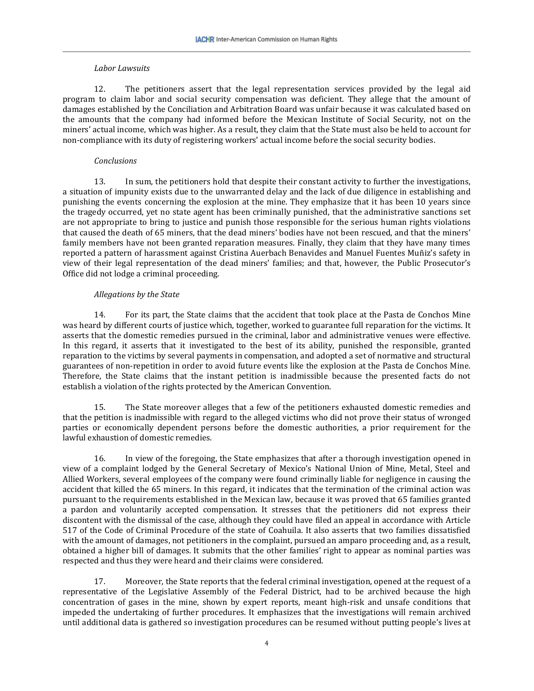#### *Labor Lawsuits*

12. The petitioners assert that the legal representation services provided by the legal aid program to claim labor and social security compensation was deficient. They allege that the amount of damages established by the Conciliation and Arbitration Board was unfair because it was calculated based on the amounts that the company had informed before the Mexican Institute of Social Security, not on the miners' actual income, which was higher. As a result, they claim that the State must also be held to account for non-compliance with its duty of registering workers' actual income before the social security bodies.

#### *Conclusions*

13. In sum, the petitioners hold that despite their constant activity to further the investigations, a situation of impunity exists due to the unwarranted delay and the lack of due diligence in establishing and punishing the events concerning the explosion at the mine. They emphasize that it has been 10 years since the tragedy occurred, yet no state agent has been criminally punished, that the administrative sanctions set are not appropriate to bring to justice and punish those responsible for the serious human rights violations that caused the death of 65 miners, that the dead miners' bodies have not been rescued, and that the miners' family members have not been granted reparation measures. Finally, they claim that they have many times reported a pattern of harassment against Cristina Auerbach Benavides and Manuel Fuentes Muñiz's safety in view of their legal representation of the dead miners' families; and that, however, the Public Prosecutor's Office did not lodge a criminal proceeding.

#### *Allegations by the State*

14. For its part, the State claims that the accident that took place at the Pasta de Conchos Mine was heard by different courts of justice which, together, worked to guarantee full reparation for the victims. It asserts that the domestic remedies pursued in the criminal, labor and administrative venues were effective. In this regard, it asserts that it investigated to the best of its ability, punished the responsible, granted reparation to the victims by several payments in compensation, and adopted a set of normative and structural guarantees of non-repetition in order to avoid future events like the explosion at the Pasta de Conchos Mine. Therefore, the State claims that the instant petition is inadmissible because the presented facts do not establish a violation of the rights protected by the American Convention.

15. The State moreover alleges that a few of the petitioners exhausted domestic remedies and that the petition is inadmissible with regard to the alleged victims who did not prove their status of wronged parties or economically dependent persons before the domestic authorities, a prior requirement for the lawful exhaustion of domestic remedies.

16. In view of the foregoing, the State emphasizes that after a thorough investigation opened in view of a complaint lodged by the General Secretary of Mexico's National Union of Mine, Metal, Steel and Allied Workers, several employees of the company were found criminally liable for negligence in causing the accident that killed the 65 miners. In this regard, it indicates that the termination of the criminal action was pursuant to the requirements established in the Mexican law, because it was proved that 65 families granted a pardon and voluntarily accepted compensation. It stresses that the petitioners did not express their discontent with the dismissal of the case, although they could have filed an appeal in accordance with Article 517 of the Code of Criminal Procedure of the state of Coahuila. It also asserts that two families dissatisfied with the amount of damages, not petitioners in the complaint, pursued an amparo proceeding and, as a result, obtained a higher bill of damages. It submits that the other families' right to appear as nominal parties was respected and thus they were heard and their claims were considered.

17. Moreover, the State reports that the federal criminal investigation, opened at the request of a representative of the Legislative Assembly of the Federal District, had to be archived because the high concentration of gases in the mine, shown by expert reports, meant high-risk and unsafe conditions that impeded the undertaking of further procedures. It emphasizes that the investigations will remain archived until additional data is gathered so investigation procedures can be resumed without putting people's lives at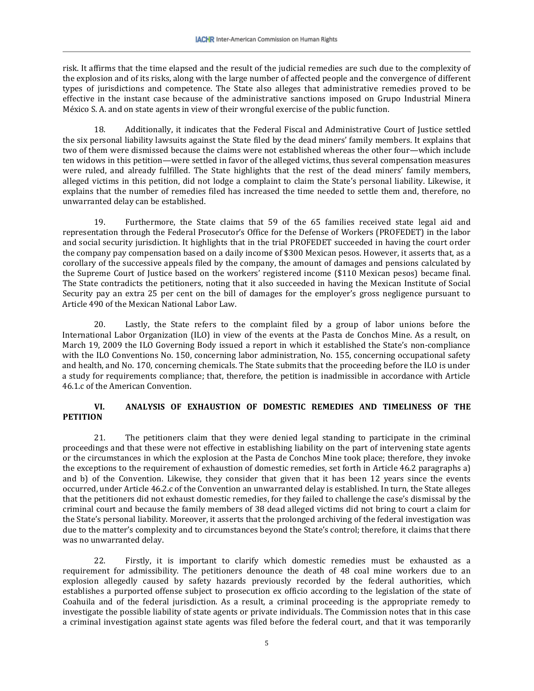risk. It affirms that the time elapsed and the result of the judicial remedies are such due to the complexity of the explosion and of its risks, along with the large number of affected people and the convergence of different types of jurisdictions and competence. The State also alleges that administrative remedies proved to be effective in the instant case because of the administrative sanctions imposed on Grupo Industrial Minera México S. A. and on state agents in view of their wrongful exercise of the public function.

18. Additionally, it indicates that the Federal Fiscal and Administrative Court of Justice settled the six personal liability lawsuits against the State filed by the dead miners' family members. It explains that two of them were dismissed because the claims were not established whereas the other four—which include ten widows in this petition—were settled in favor of the alleged victims, thus several compensation measures were ruled, and already fulfilled. The State highlights that the rest of the dead miners' family members, alleged victims in this petition, did not lodge a complaint to claim the State's personal liability. Likewise, it explains that the number of remedies filed has increased the time needed to settle them and, therefore, no unwarranted delay can be established.

19. Furthermore, the State claims that 59 of the 65 families received state legal aid and representation through the Federal Prosecutor's Office for the Defense of Workers (PROFEDET) in the labor and social security jurisdiction. It highlights that in the trial PROFEDET succeeded in having the court order the company pay compensation based on a daily income of \$300 Mexican pesos. However, it asserts that, as a corollary of the successive appeals filed by the company, the amount of damages and pensions calculated by the Supreme Court of Justice based on the workers' registered income (\$110 Mexican pesos) became final. The State contradicts the petitioners, noting that it also succeeded in having the Mexican Institute of Social Security pay an extra 25 per cent on the bill of damages for the employer's gross negligence pursuant to Article 490 of the Mexican National Labor Law.

20. Lastly, the State refers to the complaint filed by a group of labor unions before the International Labor Organization (ILO) in view of the events at the Pasta de Conchos Mine. As a result, on March 19, 2009 the ILO Governing Body issued a report in which it established the State's non-compliance with the ILO Conventions No. 150, concerning labor administration, No. 155, concerning occupational safety and health, and No. 170, concerning chemicals. The State submits that the proceeding before the ILO is under a study for requirements compliance; that, therefore, the petition is inadmissible in accordance with Article 46.1.c of the American Convention.

# **VI. ANALYSIS OF EXHAUSTION OF DOMESTIC REMEDIES AND TIMELINESS OF THE PETITION**

21. The petitioners claim that they were denied legal standing to participate in the criminal proceedings and that these were not effective in establishing liability on the part of intervening state agents or the circumstances in which the explosion at the Pasta de Conchos Mine took place; therefore, they invoke the exceptions to the requirement of exhaustion of domestic remedies, set forth in Article 46.2 paragraphs a) and b) of the Convention. Likewise, they consider that given that it has been 12 years since the events occurred, under Article 46.2.c of the Convention an unwarranted delay is established. In turn, the State alleges that the petitioners did not exhaust domestic remedies, for they failed to challenge the case's dismissal by the criminal court and because the family members of 38 dead alleged victims did not bring to court a claim for the State's personal liability. Moreover, it asserts that the prolonged archiving of the federal investigation was due to the matter's complexity and to circumstances beyond the State's control; therefore, it claims that there was no unwarranted delay.

22. Firstly, it is important to clarify which domestic remedies must be exhausted as a requirement for admissibility. The petitioners denounce the death of 48 coal mine workers due to an explosion allegedly caused by safety hazards previously recorded by the federal authorities, which establishes a purported offense subject to prosecution ex officio according to the legislation of the state of Coahuila and of the federal jurisdiction. As a result, a criminal proceeding is the appropriate remedy to investigate the possible liability of state agents or private individuals. The Commission notes that in this case a criminal investigation against state agents was filed before the federal court, and that it was temporarily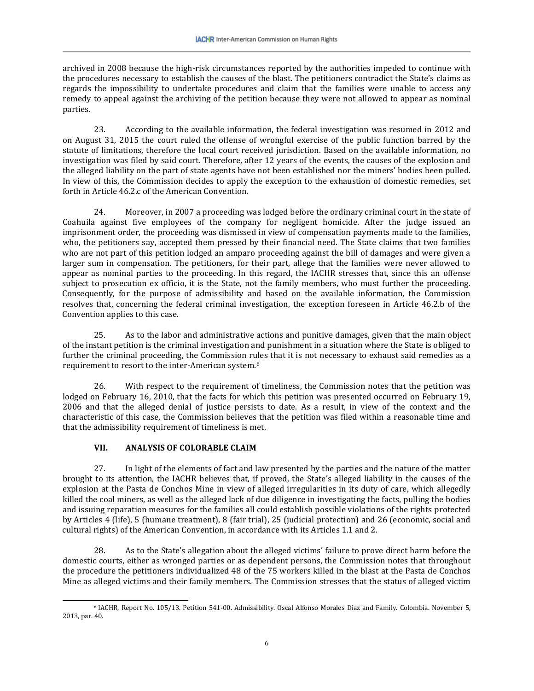archived in 2008 because the high-risk circumstances reported by the authorities impeded to continue with the procedures necessary to establish the causes of the blast. The petitioners contradict the State's claims as regards the impossibility to undertake procedures and claim that the families were unable to access any remedy to appeal against the archiving of the petition because they were not allowed to appear as nominal parties.

23. According to the available information, the federal investigation was resumed in 2012 and on August 31, 2015 the court ruled the offense of wrongful exercise of the public function barred by the statute of limitations, therefore the local court received jurisdiction. Based on the available information, no investigation was filed by said court. Therefore, after 12 years of the events, the causes of the explosion and the alleged liability on the part of state agents have not been established nor the miners' bodies been pulled. In view of this, the Commission decides to apply the exception to the exhaustion of domestic remedies, set forth in Article 46.2.c of the American Convention.

24. Moreover, in 2007 a proceeding was lodged before the ordinary criminal court in the state of Coahuila against five employees of the company for negligent homicide. After the judge issued an imprisonment order, the proceeding was dismissed in view of compensation payments made to the families, who, the petitioners say, accepted them pressed by their financial need. The State claims that two families who are not part of this petition lodged an amparo proceeding against the bill of damages and were given a larger sum in compensation. The petitioners, for their part, allege that the families were never allowed to appear as nominal parties to the proceeding. In this regard, the IACHR stresses that, since this an offense subject to prosecution ex officio, it is the State, not the family members, who must further the proceeding. Consequently, for the purpose of admissibility and based on the available information, the Commission resolves that, concerning the federal criminal investigation, the exception foreseen in Article 46.2.b of the Convention applies to this case.

25. As to the labor and administrative actions and punitive damages, given that the main object of the instant petition is the criminal investigation and punishment in a situation where the State is obliged to further the criminal proceeding, the Commission rules that it is not necessary to exhaust said remedies as a requirement to resort to the inter-American system.[6](#page-6-0)

26. With respect to the requirement of timeliness, the Commission notes that the petition was lodged on February 16, 2010, that the facts for which this petition was presented occurred on February 19, 2006 and that the alleged denial of justice persists to date. As a result, in view of the context and the characteristic of this case, the Commission believes that the petition was filed within a reasonable time and that the admissibility requirement of timeliness is met.

# **VII. ANALYSIS OF COLORABLE CLAIM**

27. In light of the elements of fact and law presented by the parties and the nature of the matter brought to its attention, the IACHR believes that, if proved, the State's alleged liability in the causes of the explosion at the Pasta de Conchos Mine in view of alleged irregularities in its duty of care, which allegedly killed the coal miners, as well as the alleged lack of due diligence in investigating the facts, pulling the bodies and issuing reparation measures for the families all could establish possible violations of the rights protected by Articles 4 (life), 5 (humane treatment), 8 (fair trial), 25 (judicial protection) and 26 (economic, social and cultural rights) of the American Convention, in accordance with its Articles 1.1 and 2.

28. As to the State's allegation about the alleged victims' failure to prove direct harm before the domestic courts, either as wronged parties or as dependent persons, the Commission notes that throughout the procedure the petitioners individualized 48 of the 75 workers killed in the blast at the Pasta de Conchos Mine as alleged victims and their family members. The Commission stresses that the status of alleged victim

<span id="page-6-0"></span> <sup>6</sup> IACHR, Report No. 105/13. Petition 541-00. Admissibility. Oscal Alfonso Morales Díaz and Family. Colombia. November 5, 2013, par. 40.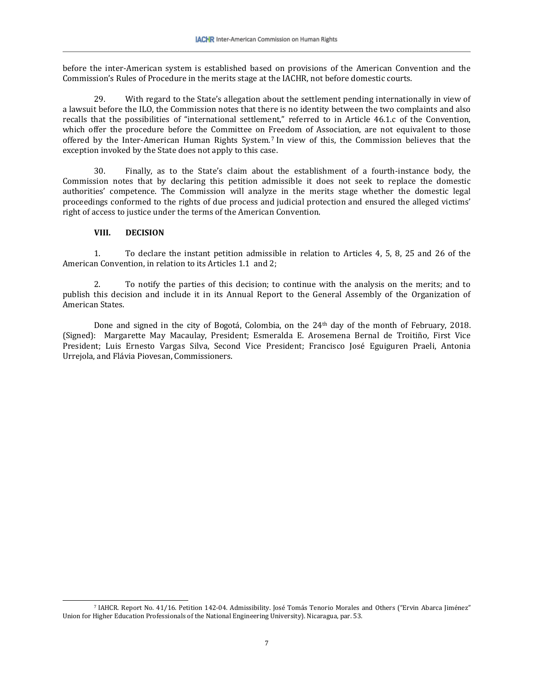before the inter-American system is established based on provisions of the American Convention and the Commission's Rules of Procedure in the merits stage at the IACHR, not before domestic courts.

29. With regard to the State's allegation about the settlement pending internationally in view of a lawsuit before the ILO, the Commission notes that there is no identity between the two complaints and also recalls that the possibilities of "international settlement," referred to in Article 46.1.c of the Convention, which offer the procedure before the Committee on [Fr](#page-7-0)eedom of Association, are not equivalent to those offered by the Inter-American Human Rights System.7 In view of this, the Commission believes that the exception invoked by the State does not apply to this case.

30. Finally, as to the State's claim about the establishment of a fourth-instance body, the Commission notes that by declaring this petition admissible it does not seek to replace the domestic authorities' competence. The Commission will analyze in the merits stage whether the domestic legal proceedings conformed to the rights of due process and judicial protection and ensured the alleged victims' right of access to justice under the terms of the American Convention.

#### **VIII. DECISION**

1. To declare the instant petition admissible in relation to Articles 4, 5, 8, 25 and 26 of the American Convention, in relation to its Articles 1.1 and 2;

2. To notify the parties of this decision; to continue with the analysis on the merits; and to publish this decision and include it in its Annual Report to the General Assembly of the Organization of American States.

Done and signed in the city of Bogotá, Colombia, on the 24<sup>th</sup> day of the month of February, 2018. (Signed): Margarette May Macaulay, President; Esmeralda E. Arosemena Bernal de Troitiño, First Vice President; Luis Ernesto Vargas Silva, Second Vice President; Francisco José Eguiguren Praeli, Antonia Urrejola, and Flávia Piovesan, Commissioners.

<span id="page-7-0"></span> <sup>7</sup> IAHCR. Report No. 41/16. Petition 142-04. Admissibility. José Tomás Tenorio Morales and Others ("Ervin Abarca Jiménez" Union for Higher Education Professionals of the National Engineering University). Nicaragua, par. 53.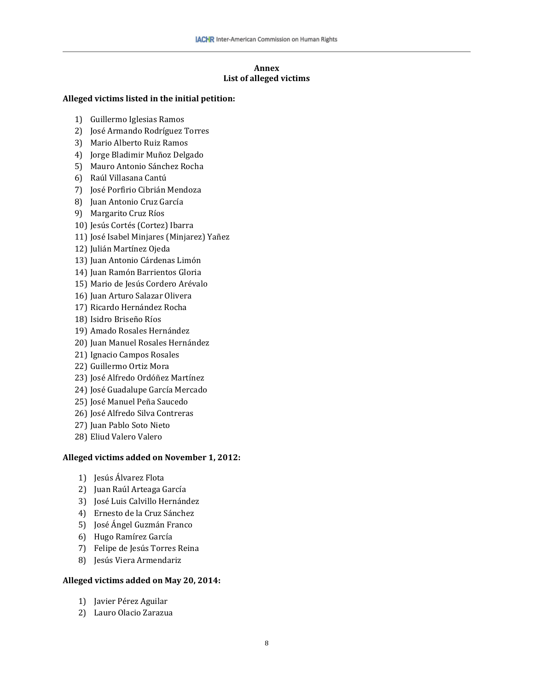#### **Annex List of alleged victims**

#### **Alleged victims listed in the initial petition:**

- 1) Guillermo Iglesias Ramos
- 2) José Armando Rodríguez Torres
- 3) Mario Alberto Ruiz Ramos
- 4) Jorge Bladimir Muñoz Delgado
- 5) Mauro Antonio Sánchez Rocha
- 6) Raúl Villasana Cantú
- 7) José Porfirio Cibrián Mendoza
- 8) Juan Antonio Cruz García
- 9) Margarito Cruz Ríos
- 10) Jesús Cortés (Cortez) Ibarra
- 11) José Isabel Minjares (Minjarez) Yañez
- 12) Julián Martínez Ojeda
- 13) Juan Antonio Cárdenas Limón
- 14) Juan Ramón Barrientos Gloria
- 15) Mario de Jesús Cordero Arévalo
- 16) Juan Arturo Salazar Olivera
- 17) Ricardo Hernández Rocha
- 18) Isidro Briseño Ríos
- 19) Amado Rosales Hernández
- 20) Juan Manuel Rosales Hernández
- 21) Ignacio Campos Rosales
- 22) Guillermo Ortiz Mora
- 23) José Alfredo Ordóñez Martínez
- 24) José Guadalupe García Mercado
- 25) José Manuel Peña Saucedo
- 26) José Alfredo Silva Contreras
- 27) Juan Pablo Soto Nieto
- 28) Eliud Valero Valero

# **Alleged victims added on November 1, 2012:**

- 1) Jesús Álvarez Flota
- 2) Juan Raúl Arteaga García
- 3) José Luis Calvillo Hernández
- 4) Ernesto de la Cruz Sánchez
- 5) José Ángel Guzmán Franco
- 6) Hugo Ramírez García
- 7) Felipe de Jesús Torres Reina
- 8) Jesús Viera Armendariz

# **Alleged victims added on May 20, 2014:**

- 1) Javier Pérez Aguilar
- 2) Lauro Olacio Zarazua